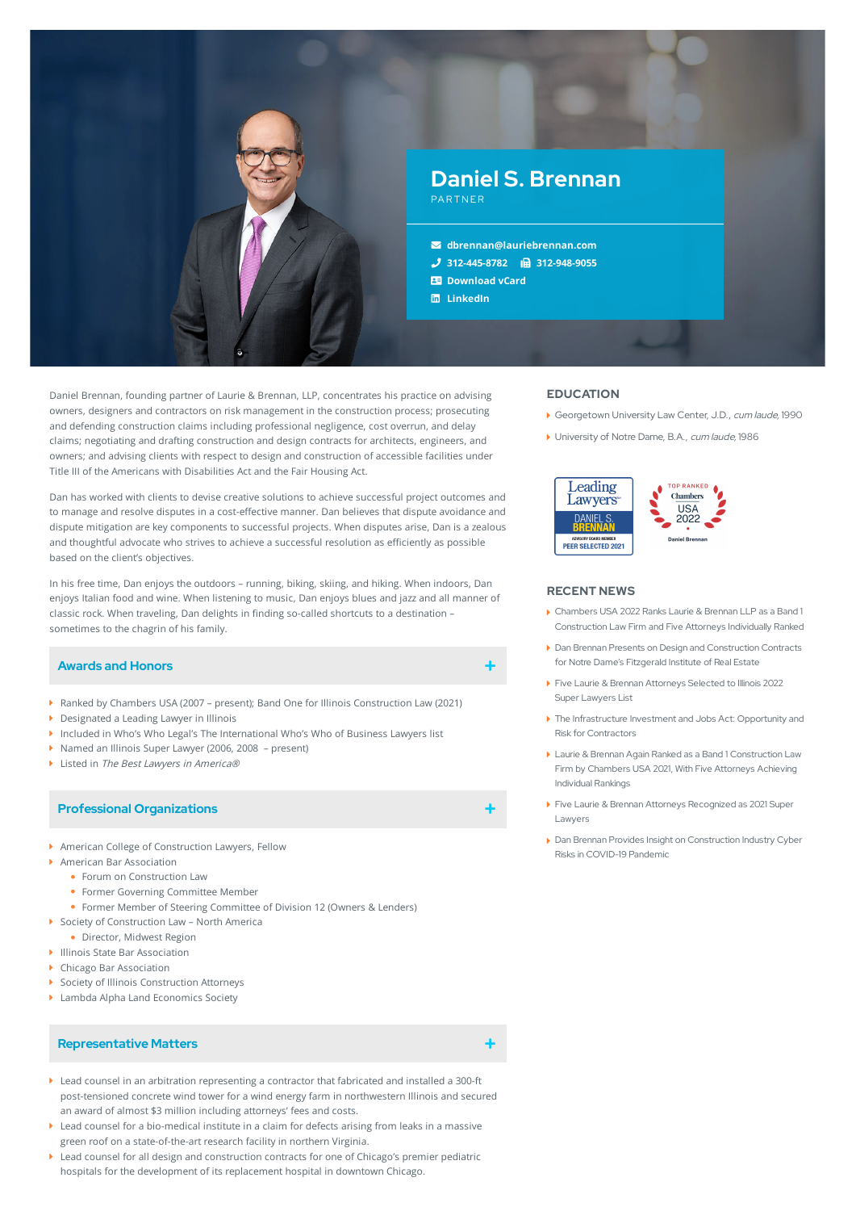

Daniel Brennan, founding partner of Laurie & Brennan, LLP, concentrates his practice on advising owners, designers and contractors on risk management in the construction process; prosecuting and defending construction claims including professional negligence, cost overrun, and delay claims; negotiating and drafting construction and design contracts for architects, engineers, and owners; and advising clients with respect to design and construction of accessible facilities under Title III of the Americans with Disabilities Act and the Fair Housing Act.

Dan has worked with clients to devise creative solutions to achieve successful project outcomes and to manage and resolve disputes in a cost-effective manner. Dan believes that dispute avoidance and dispute mitigation are key components to successful projects. When disputes arise, Dan is a zealous and thoughtful advocate who strives to achieve a successful resolution as efficiently as possible based on the client's objectives.

In his free time, Dan enjoys the outdoors – running, biking, skiing, and hiking. When indoors, Dan enjoys Italian food and wine. When listening to music, Dan enjoys blues and jazz and all manner of classic rock. When traveling, Dan delights in finding so-called shortcuts to a destination sometimes to the chagrin of his family.

### **Awards and Honors**

- ▶ Ranked by Chambers USA (2007 present); Band One for Illinois Construction Law (2021)
- ▶ Designated a Leading Lawyer in Illinois
- Included in Who's Who Legal's The International Who's Who of Business Lawyers list
- ▶ Named an Illinois Super Lawyer (2006, 2008 present)
- ▶ Listed in The Best Lawyers in America®

### **Professional Organizations**

- American College of Construction Lawyers, Fellow
- American Bar Association
	- Forum on Construction Law
	- Former Governing Committee Member
	- Former Member of Steering Committee of Division 12 (Owners & Lenders)
- ▶ Society of Construction Law North America
	- Director, Midwest Region
- Illinois State Bar Association
- Chicago Bar Association
- ▶ Society of Illinois Construction Attorneys
- ▶ Lambda Alpha Land Economics Society

## **Representative Matters**

- Lead counsel in an arbitration representing a contractor that fabricated and installed a 300-ft post-tensioned concrete wind tower for a wind energy farm in northwestern Illinois and secured an award of almost \$3 million including attorneys' fees and costs.
- Lead counsel for a bio-medical institute in a claim for defects arising from leaks in a massive green roof on a state-of-the-art research facility in northern Virginia.
- Lead counsel for all design and construction contracts for one of Chicago's premier pediatric hospitals for the development of its replacement hospital in downtown Chicago.

#### **EDUCATION**

- Georgetown University Law Center, J.D., cum laude, 1990
- ▶ University of Notre Dame, B.A., cum laude, 1986



#### **RECENT NEWS**

- Chambers USA 2022 Ranks Laurie & Brennan LLP as a Band 1 [Construction](https://www.lauriebrennan.com/blog/chambers-usa-2022-ranks-laurie-brennan-llp-as-a-band-1-construction-law-firm-and-five-attorneys-individually-ranked/) Law Firm and Five Attorneys Individually Ranked
- Dan Brennan Presents on Design and [Construction](https://www.lauriebrennan.com/blog/dan-brennan-presents-on-design-and-construction-contracts-for-notre-dames-fitzgerald-institute-of-real-estate/) Contracts for Notre Dame's Fitzgerald Institute of Real Estate
- Five Laurie & Brennan [Attorneys](https://www.lauriebrennan.com/blog/five-laurie-brennan-attorneys-selected-to-illinois-2022-super-lawyers-list/) Selected to Illinois 2022 Super Lawyers List
- The [Infrastructure](https://www.lauriebrennan.com/blog/the-infrastructure-investment-and-jobs-act-opportunity-and-risk-for-contractors/) Investment and Jobs Act: Opportunity and Risk for Contractors
- Laurie & Brennan Again Ranked as a Band 1 [Construction](https://www.lauriebrennan.com/blog/laurie-brennan-again-ranked-as-a-band-1-construction-law-firm-by-chambers-usa-2021-with-five-attorneys-achieving-individual-rankings/) Law Firm by Chambers USA 2021, With Five Attorneys Achieving Individual Rankings
- Five Laurie & Brennan Attorneys [Recognized](https://www.lauriebrennan.com/blog/congratulations-laurie-brennan-2021-super-lawyers/) as 2021 Super Lawyers
- Dan Brennan Provides Insight on [Construction](https://www.lauriebrennan.com/blog/dan-brennan-provides-insight-on-construction-industry-cyber-risks-in-covid-19-times/) Industry Cyber Risks in COVID-19 Pandemic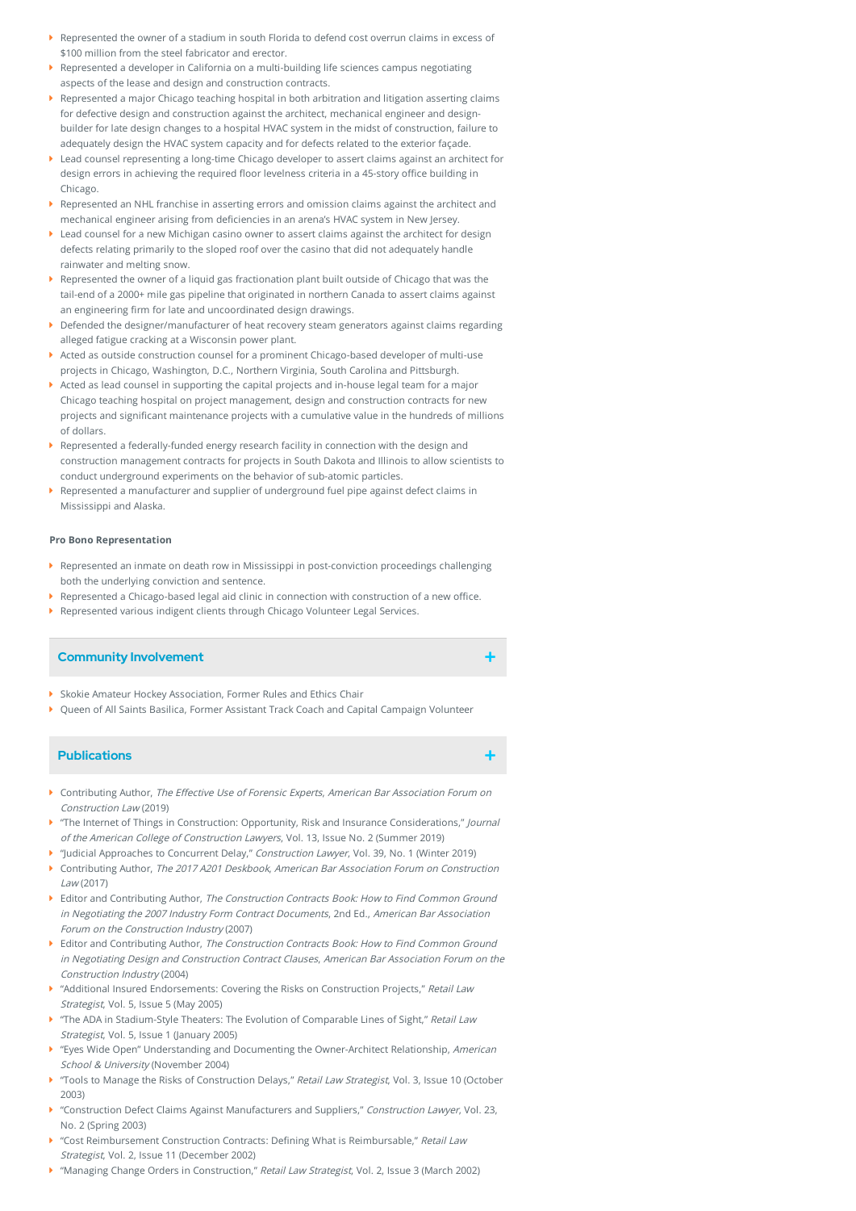- Represented the owner of a stadium in south Florida to defend cost overrun claims in excess of \$100 million from the steel fabricator and erector.
- Represented a developer in California on a multi-building life sciences campus negotiating aspects of the lease and design and construction contracts.
- Represented a major Chicago teaching hospital in both arbitration and litigation asserting claims for defective design and construction against the architect, mechanical engineer and designbuilder for late design changes to a hospital HVAC system in the midst of construction, failure to adequately design the HVAC system capacity and for defects related to the exterior façade.
- Lead counsel representing a long-time Chicago developer to assert claims against an architect for design errors in achieving the required floor levelness criteria in a 45-story office building in Chicago.
- $\blacktriangleright$  Represented an NHL franchise in asserting errors and omission claims against the architect and mechanical engineer arising from deficiencies in an arena's HVAC system in New Jersey.
- Lead counsel for a new Michigan casino owner to assert claims against the architect for design defects relating primarily to the sloped roof over the casino that did not adequately handle rainwater and melting snow.
- Represented the owner of a liquid gas fractionation plant built outside of Chicago that was the tail-end of a 2000+ mile gas pipeline that originated in northern Canada to assert claims against an engineering firm for late and uncoordinated design drawings.
- Defended the designer/manufacturer of heat recovery steam generators against claims regarding alleged fatigue cracking at a Wisconsin power plant.
- Acted as outside construction counsel for a prominent Chicago-based developer of multi-use projects in Chicago, Washington, D.C., Northern Virginia, South Carolina and Pittsburgh.
- Acted as lead counsel in supporting the capital projects and in-house legal team for a major Chicago teaching hospital on project management, design and construction contracts for new projects and significant maintenance projects with a cumulative value in the hundreds of millions of dollars.
- Represented a federally-funded energy research facility in connection with the design and construction management contracts for projects in South Dakota and Illinois to allow scientists to conduct underground experiments on the behavior of sub-atomic particles.
- Represented a manufacturer and supplier of underground fuel pipe against defect claims in Mississippi and Alaska.

#### **Pro Bono Representation**

- Represented an inmate on death row in Mississippi in post-conviction proceedings challenging both the underlying conviction and sentence. ¥
- $\blacktriangleright$  Represented a Chicago-based legal aid clinic in connection with construction of a new office.
- Represented various indigent clients through Chicago Volunteer Legal Services.

## **Community Involvement**

- Skokie Amateur Hockey Association, Former Rules and Ethics Chair
- Queen of All Saints Basilica, Former Assistant Track Coach and Capital Campaign Volunteer

### **Publications**

- Contributing Author, The Effective Use of Forensic Experts, American Bar Association Forum on Construction Law (2019)
- The Internet of Things in Construction: Opportunity, Risk and Insurance Considerations," Journal of the American College of Construction Lawyers, Vol. 13, Issue No. 2 (Summer 2019)
- "Judicial Approaches to Concurrent Delay," Construction Lawyer, Vol. 39, No. 1 (Winter 2019) Contributing Author, The 2017 A201 Deskbook, American Bar Association Forum on Construction
- Law (2017) Editor and Contributing Author, The Construction Contracts Book: How to Find Common Ground
- in Negotiating the 2007 Industry Form Contract Documents, 2nd Ed., American Bar Association Forum on the Construction Industry (2007)
- Editor and Contributing Author, The Construction Contracts Book: How to Find Common Ground in Negotiating Design and Construction Contract Clauses, American Bar Association Forum on the Construction Industry (2004)
- "Additional Insured Endorsements: Covering the Risks on Construction Projects," Retail Law Strategist, Vol. 5, Issue 5 (May 2005)
- The ADA in Stadium-Style Theaters: The Evolution of Comparable Lines of Sight," Retail Law Strategist, Vol. 5, Issue 1 (January 2005)
- ▶ "Eyes Wide Open" Understanding and Documenting the Owner-Architect Relationship, American School & University (November 2004)
- Tools to Manage the Risks of Construction Delays," Retail Law Strategist, Vol. 3, Issue 10 (October 10) 2003)
- "Construction Defect Claims Against Manufacturers and Suppliers," Construction Lawyer, Vol. 23, No. 2 (Spring 2003)
- "Cost Reimbursement Construction Contracts: Defining What is Reimbursable," Retail Law Strategist, Vol. 2, Issue 11 (December 2002)
- "Managing Change Orders in Construction," Retail Law Strategist, Vol. 2, Issue 3 (March 2002)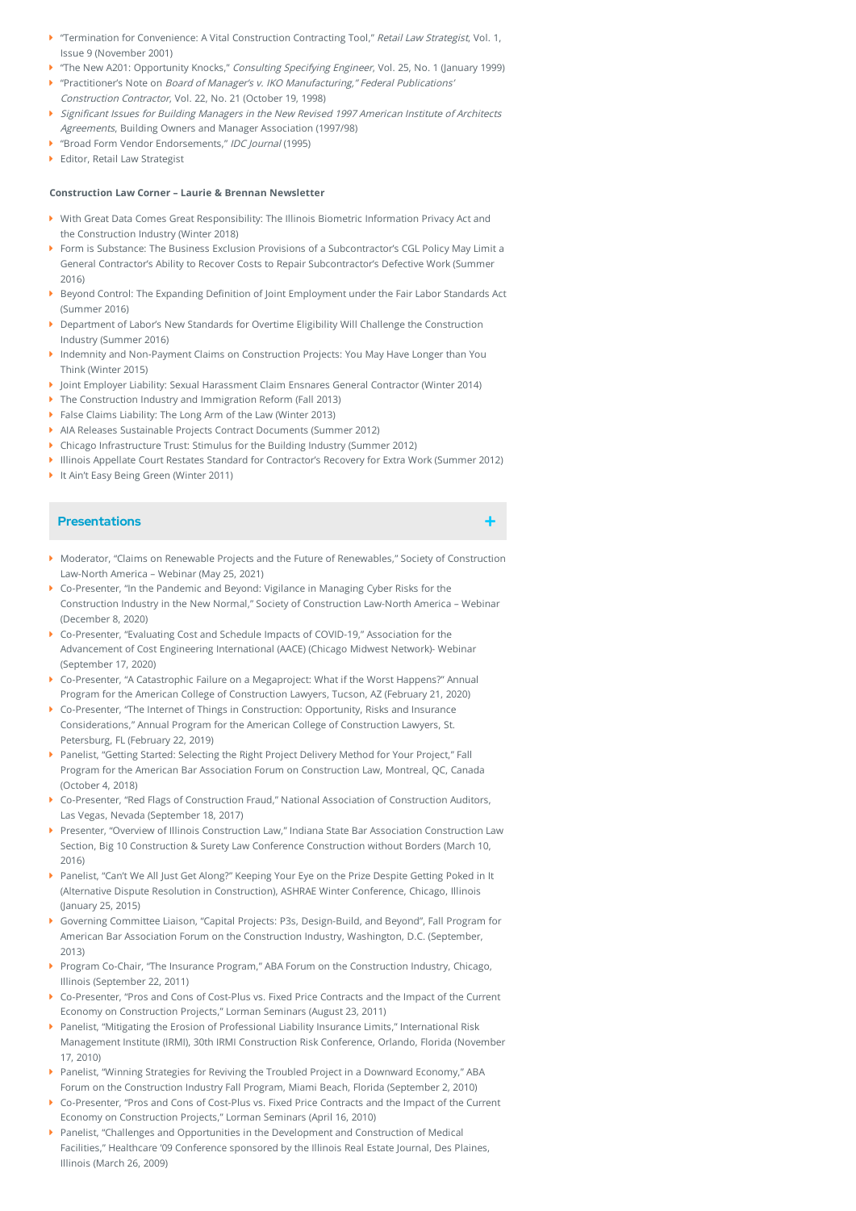- "Termination for Convenience: A Vital Construction Contracting Tool," Retail Law Strategist, Vol. 1, Issue 9 (November 2001)
- The New A201: Opportunity Knocks," Consulting Specifying Engineer, Vol. 25, No. 1 (January 1999)
- ▶ "Practitioner's Note on Board of Manager's v. IKO Manufacturing," Federal Publications' Construction Contractor, Vol. 22, No. 21 (October 19, 1998)
- $\blacktriangleright$  Significant Issues for Building Managers in the New Revised 1997 American Institute of Architects Agreements, Building Owners and Manager Association (1997/98)
- ▶ "Broad Form Vendor Endorsements," IDC Journal (1995)
- ▶ Editor, Retail Law Strategist

## **Construction Law Corner – Laurie & Brennan Newsletter**

- With Great Data Comes Great Responsibility: The Illinois Biometric Information Privacy Act and the Construction Industry (Winter 2018)
- Form is Substance: The Business Exclusion Provisions of a Subcontractor's CGL Policy May Limit a General Contractor's Ability to Recover Costs to Repair Subcontractor's Defective Work (Summer 2016)
- $\blacktriangleright$  Beyond Control: The Expanding Definition of Joint Employment under the Fair Labor Standards Act (Summer 2016)
- Department of Labor's New Standards for Overtime Eligibility Will Challenge the Construction Industry (Summer 2016)
- Indemnity and Non-Payment Claims on Construction Projects: You May Have Longer than You Think (Winter 2015)
- Joint Employer Liability: Sexual Harassment Claim Ensnares General Contractor (Winter 2014)
- ▶ The Construction Industry and Immigration Reform (Fall 2013)
- False Claims Liability: The Long Arm of the Law (Winter 2013)
- AIA Releases Sustainable Projects Contract Documents (Summer 2012)
- Chicago Infrastructure Trust: Stimulus for the Building Industry (Summer 2012)
- Illinois Appellate Court Restates Standard for Contractor's Recovery for Extra Work (Summer 2012)
- ▶ It Ain't Easy Being Green (Winter 2011)

# **Presentations**

- Moderator, "Claims on Renewable Projects and the Future of Renewables," Society of Construction Law-North America – Webinar (May 25, 2021)
- Co-Presenter, "In the Pandemic and Beyond: Vigilance in Managing Cyber Risks for the Construction Industry in the New Normal," Society of Construction Law-North America – Webinar (December 8, 2020)
- Co-Presenter, "Evaluating Cost and Schedule Impacts of COVID-19," Association for the Advancement of Cost Engineering International (AACE) (Chicago Midwest Network)- Webinar (September 17, 2020)
- Co-Presenter, "A Catastrophic Failure on a Megaproject: What if the Worst Happens?" Annual Program for the American College of Construction Lawyers, Tucson, AZ (February 21, 2020)
- Co-Presenter, "The Internet of Things in Construction: Opportunity, Risks and Insurance Considerations," Annual Program for the American College of Construction Lawyers, St. Petersburg, FL (February 22, 2019)
- Panelist, "Getting Started: Selecting the Right Project Delivery Method for Your Project," Fall Program for the American Bar Association Forum on Construction Law, Montreal, QC, Canada (October 4, 2018)
- Co-Presenter, "Red Flags of Construction Fraud," National Association of Construction Auditors, Las Vegas, Nevada (September 18, 2017)
- Presenter, "Overview of Illinois Construction Law," Indiana State Bar Association Construction Law Section, Big 10 Construction & Surety Law Conference Construction without Borders (March 10, 2016)
- Panelist, "Can't We All Just Get Along?" Keeping Your Eye on the Prize Despite Getting Poked in It (Alternative Dispute Resolution in Construction), ASHRAE Winter Conference, Chicago, Illinois (January 25, 2015)
- Governing Committee Liaison, "Capital Projects: P3s, Design-Build, and Beyond", Fall Program for American Bar Association Forum on the Construction Industry, Washington, D.C. (September, 2013)
- Program Co-Chair, "The Insurance Program," ABA Forum on the Construction Industry, Chicago, Illinois (September 22, 2011)
- Co-Presenter, "Pros and Cons of Cost-Plus vs. Fixed Price Contracts and the Impact of the Current Economy on Construction Projects," Lorman Seminars (August 23, 2011)
- Panelist, "Mitigating the Erosion of Professional Liability Insurance Limits," International Risk Management Institute (IRMI), 30th IRMI Construction Risk Conference, Orlando, Florida (November 17, 2010)
- Panelist, "Winning Strategies for Reviving the Troubled Project in a Downward Economy," ABA Forum on the Construction Industry Fall Program, Miami Beach, Florida (September 2, 2010)
- Co-Presenter, "Pros and Cons of Cost-Plus vs. Fixed Price Contracts and the Impact of the Current Economy on Construction Projects," Lorman Seminars (April 16, 2010)
- Panelist, "Challenges and Opportunities in the Development and Construction of Medical Facilities," Healthcare '09 Conference sponsored by the Illinois Real Estate Journal, Des Plaines, Illinois (March 26, 2009)